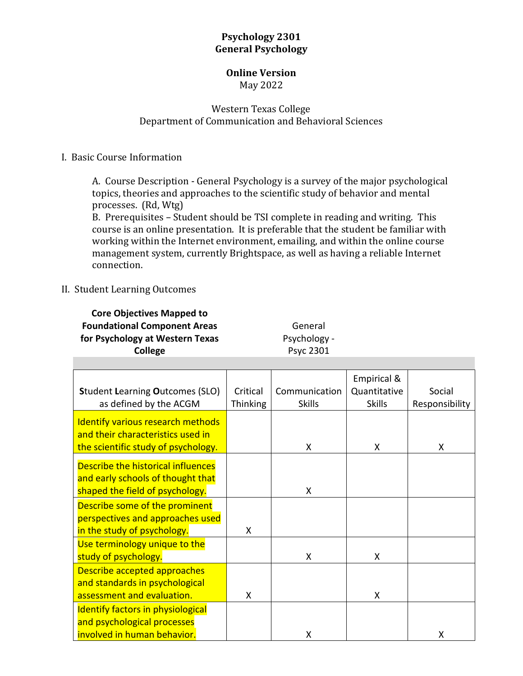## **Psychology 2301 General Psychology**

#### **Online Version** May 2022

## Western Texas College Department of Communication and Behavioral Sciences

### I. Basic Course Information

A. Course Description - General Psychology is a survey of the major psychological topics, theories and approaches to the scientific study of behavior and mental processes. (Rd, Wtg)

B. Prerequisites – Student should be TSI complete in reading and writing. This course is an online presentation. It is preferable that the student be familiar with working within the Internet environment, emailing, and within the online course management system, currently Brightspace, as well as having a reliable Internet connection.

### II. Student Learning Outcomes

**Core Objectives Mapped to Foundational Component Areas for Psychology at Western Texas College**

General Psychology - Psyc 2301

| <b>Student Learning Outcomes (SLO)</b><br>as defined by the ACGM                                              | Critical<br><b>Thinking</b> | Communication<br><b>Skills</b> | Empirical &<br>Quantitative<br><b>Skills</b> | Social<br>Responsibility |
|---------------------------------------------------------------------------------------------------------------|-----------------------------|--------------------------------|----------------------------------------------|--------------------------|
| Identify various research methods<br>and their characteristics used in<br>the scientific study of psychology. |                             | X                              | X                                            | X                        |
| Describe the historical influences<br>and early schools of thought that<br>shaped the field of psychology.    |                             | X                              |                                              |                          |
| Describe some of the prominent<br>perspectives and approaches used<br>in the study of psychology.             | X                           |                                |                                              |                          |
| Use terminology unique to the<br>study of psychology.                                                         |                             | X                              | X                                            |                          |
| Describe accepted approaches<br>and standards in psychological<br>assessment and evaluation.                  | X                           |                                | X                                            |                          |
| <b>Identify factors in physiological</b><br>and psychological processes<br>involved in human behavior.        |                             | X                              |                                              | X                        |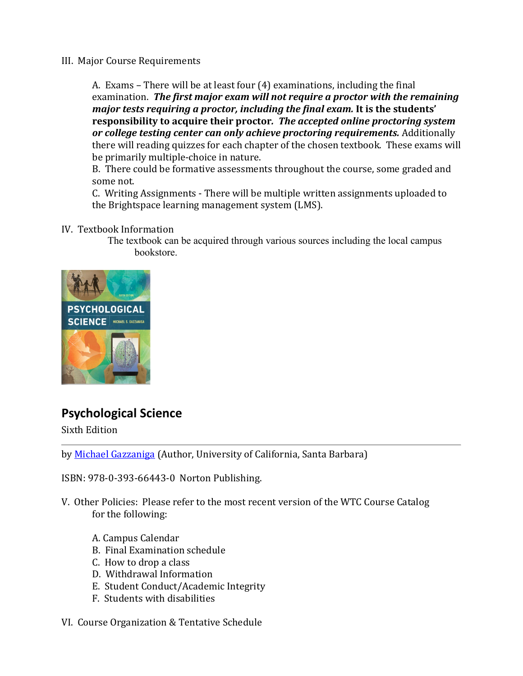### III. Major Course Requirements

A. Exams – There will be at least four (4) examinations, including the final examination. *The first major exam will not require a proctor with the remaining major tests requiring a proctor, including the final exam.* **It is the students' responsibility to acquire their proctor***. The accepted online proctoring system or college testing center can only achieve proctoring requirements.* Additionally there will reading quizzes for each chapter of the chosen textbook. These exams will be primarily multiple-choice in nature.

B. There could be formative assessments throughout the course, some graded and some not.

C. Writing Assignments - There will be multiple written assignments uploaded to the Brightspace learning management system (LMS).

IV. Textbook Information

The textbook can be acquired through various sources including the local campus bookstore.



# **Psychological Science**

Sixth Edition

by [Michael Gazzaniga](https://wwnorton.com/author/GAZZANIGAMICHAEL/michaelgazzaniga) (Author, University of California, Santa Barbara)

ISBN: 978-0-393-66443-0 Norton Publishing.

V. Other Policies: Please refer to the most recent version of the WTC Course Catalog for the following:

- A. Campus Calendar
- B. Final Examination schedule
- C. How to drop a class
- D. Withdrawal Information
- E. Student Conduct/Academic Integrity
- F. Students with disabilities
- VI. Course Organization & Tentative Schedule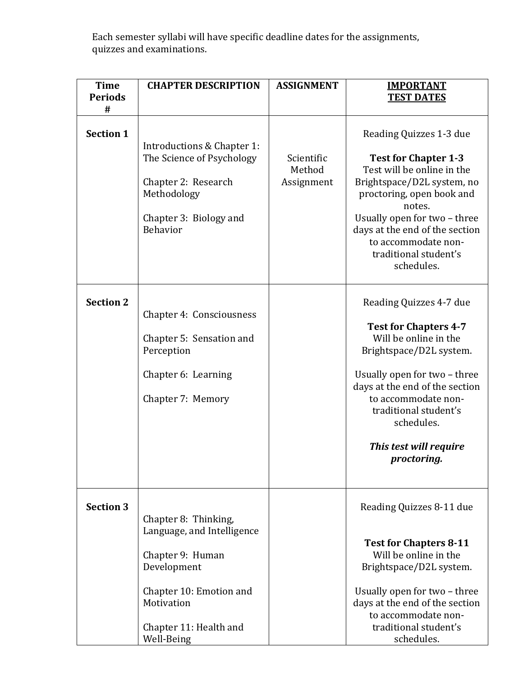Each semester syllabi will have specific deadline dates for the assignments, quizzes and examinations.

| <b>Time</b><br><b>Periods</b><br># | <b>CHAPTER DESCRIPTION</b>                                                                                                                                             | <b>ASSIGNMENT</b>                  | <b>IMPORTANT</b><br><b>TEST DATES</b>                                                                                                                                                                                                                                                     |
|------------------------------------|------------------------------------------------------------------------------------------------------------------------------------------------------------------------|------------------------------------|-------------------------------------------------------------------------------------------------------------------------------------------------------------------------------------------------------------------------------------------------------------------------------------------|
| <b>Section 1</b>                   | Introductions & Chapter 1:<br>The Science of Psychology<br>Chapter 2: Research<br>Methodology<br>Chapter 3: Biology and<br>Behavior                                    | Scientific<br>Method<br>Assignment | Reading Quizzes 1-3 due<br><b>Test for Chapter 1-3</b><br>Test will be online in the<br>Brightspace/D2L system, no<br>proctoring, open book and<br>notes.<br>Usually open for two - three<br>days at the end of the section<br>to accommodate non-<br>traditional student's<br>schedules. |
| <b>Section 2</b>                   | Chapter 4: Consciousness<br>Chapter 5: Sensation and<br>Perception<br>Chapter 6: Learning<br>Chapter 7: Memory                                                         |                                    | Reading Quizzes 4-7 due<br><b>Test for Chapters 4-7</b><br>Will be online in the<br>Brightspace/D2L system.<br>Usually open for two - three<br>days at the end of the section<br>to accommodate non-<br>traditional student's<br>schedules.<br>This test will require<br>proctoring.      |
| <b>Section 3</b>                   | Chapter 8: Thinking,<br>Language, and Intelligence<br>Chapter 9: Human<br>Development<br>Chapter 10: Emotion and<br>Motivation<br>Chapter 11: Health and<br>Well-Being |                                    | Reading Quizzes 8-11 due<br><b>Test for Chapters 8-11</b><br>Will be online in the<br>Brightspace/D2L system.<br>Usually open for two - three<br>days at the end of the section<br>to accommodate non-<br>traditional student's<br>schedules.                                             |